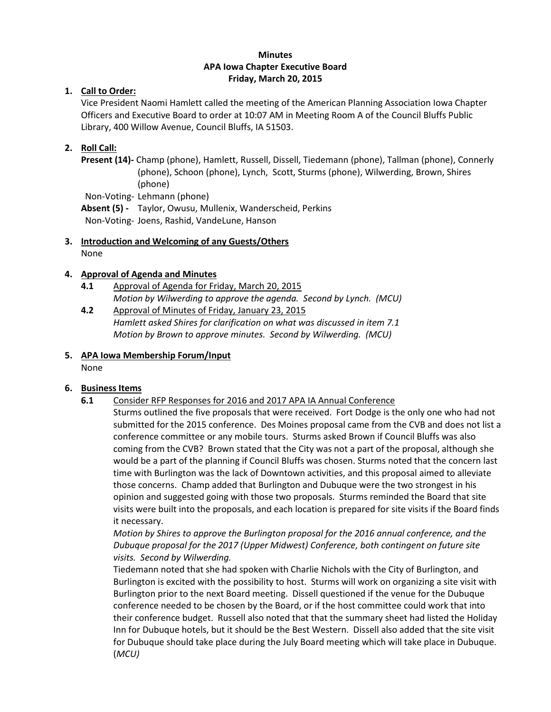### **Minutes APA Iowa Chapter Executive Board Friday, March 20, 2015**

### **1. Call to Order:**

Vice President Naomi Hamlett called the meeting of the American Planning Association Iowa Chapter Officers and Executive Board to order at 10:07 AM in Meeting Room A of the Council Bluffs Public Library, 400 Willow Avenue, Council Bluffs, IA 51503.

### **2. Roll Call:**

**Present (14)-** Champ (phone), Hamlett, Russell, Dissell, Tiedemann (phone), Tallman (phone), Connerly (phone), Schoon (phone), Lynch, Scott, Sturms (phone), Wilwerding, Brown, Shires (phone) Non-Voting- Lehmann (phone)

**Absent (5) -** Taylor, Owusu, Mullenix, Wanderscheid, Perkins Non-Voting- Joens, Rashid, VandeLune, Hanson

**3. Introduction and Welcoming of any Guests/Others** None

#### **4. Approval of Agenda and Minutes**

- **4.1** Approval of Agenda for Friday, March 20, 2015 *Motion by Wilwerding to approve the agenda. Second by Lynch. (MCU)*
- **4.2** Approval of Minutes of Friday, January 23, 2015 *Hamlett asked Shires for clarification on what was discussed in item 7.1 Motion by Brown to approve minutes. Second by Wilwerding. (MCU)*

#### **5. APA Iowa Membership Forum/Input**

None

#### **6. Business Items**

- **6.1** Consider RFP Responses for 2016 and 2017 APA IA Annual Conference
	- Sturms outlined the five proposals that were received. Fort Dodge is the only one who had not submitted for the 2015 conference. Des Moines proposal came from the CVB and does not list a conference committee or any mobile tours. Sturms asked Brown if Council Bluffs was also coming from the CVB? Brown stated that the City was not a part of the proposal, although she would be a part of the planning if Council Bluffs was chosen. Sturms noted that the concern last time with Burlington was the lack of Downtown activities, and this proposal aimed to alleviate those concerns. Champ added that Burlington and Dubuque were the two strongest in his opinion and suggested going with those two proposals. Sturms reminded the Board that site visits were built into the proposals, and each location is prepared for site visits if the Board finds it necessary.

*Motion by Shires to approve the Burlington proposal for the 2016 annual conference, and the Dubuque proposal for the 2017 (Upper Midwest) Conference, both contingent on future site visits. Second by Wilwerding.* 

Tiedemann noted that she had spoken with Charlie Nichols with the City of Burlington, and Burlington is excited with the possibility to host. Sturms will work on organizing a site visit with Burlington prior to the next Board meeting. Dissell questioned if the venue for the Dubuque conference needed to be chosen by the Board, or if the host committee could work that into their conference budget. Russell also noted that that the summary sheet had listed the Holiday Inn for Dubuque hotels, but it should be the Best Western. Dissell also added that the site visit for Dubuque should take place during the July Board meeting which will take place in Dubuque. (*MCU)*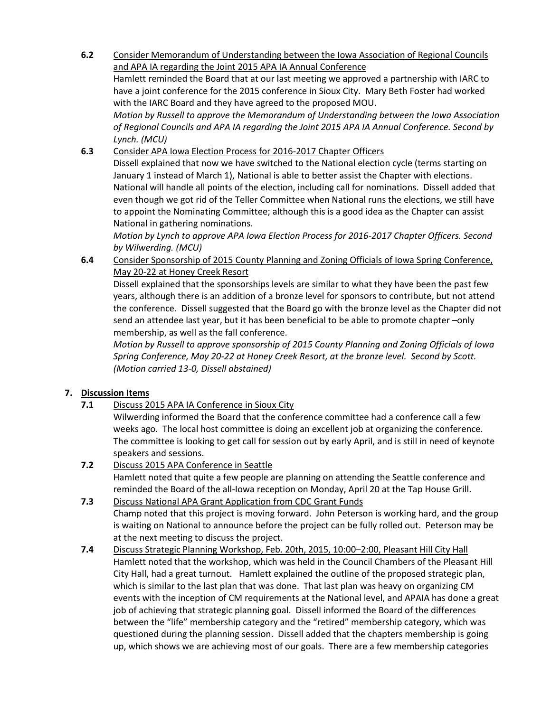**6.2** Consider Memorandum of Understanding between the Iowa Association of Regional Councils and APA IA regarding the Joint 2015 APA IA Annual Conference

Hamlett reminded the Board that at our last meeting we approved a partnership with IARC to have a joint conference for the 2015 conference in Sioux City. Mary Beth Foster had worked with the IARC Board and they have agreed to the proposed MOU.

*Motion by Russell to approve the Memorandum of Understanding between the Iowa Association of Regional Councils and APA IA regarding the Joint 2015 APA IA Annual Conference. Second by Lynch. (MCU)*

**6.3** Consider APA Iowa Election Process for 2016-2017 Chapter Officers

Dissell explained that now we have switched to the National election cycle (terms starting on January 1 instead of March 1), National is able to better assist the Chapter with elections. National will handle all points of the election, including call for nominations. Dissell added that even though we got rid of the Teller Committee when National runs the elections, we still have to appoint the Nominating Committee; although this is a good idea as the Chapter can assist National in gathering nominations.

*Motion by Lynch to approve APA Iowa Election Process for 2016-2017 Chapter Officers. Second by Wilwerding. (MCU)*

**6.4** Consider Sponsorship of 2015 County Planning and Zoning Officials of Iowa Spring Conference, May 20-22 at Honey Creek Resort

Dissell explained that the sponsorships levels are similar to what they have been the past few years, although there is an addition of a bronze level for sponsors to contribute, but not attend the conference. Dissell suggested that the Board go with the bronze level as the Chapter did not send an attendee last year, but it has been beneficial to be able to promote chapter –only membership, as well as the fall conference.

*Motion by Russell to approve sponsorship of 2015 County Planning and Zoning Officials of Iowa Spring Conference, May 20-22 at Honey Creek Resort, at the bronze level. Second by Scott. (Motion carried 13-0, Dissell abstained)*

# **7. Discussion Items**

**7.1** Discuss 2015 APA IA Conference in Sioux City

Wilwerding informed the Board that the conference committee had a conference call a few weeks ago. The local host committee is doing an excellent job at organizing the conference. The committee is looking to get call for session out by early April, and is still in need of keynote speakers and sessions.

- **7.2** Discuss 2015 APA Conference in Seattle Hamlett noted that quite a few people are planning on attending the Seattle conference and reminded the Board of the all-Iowa reception on Monday, April 20 at the Tap House Grill.
- **7.3** Discuss National APA Grant Application from CDC Grant Funds Champ noted that this project is moving forward. John Peterson is working hard, and the group is waiting on National to announce before the project can be fully rolled out. Peterson may be at the next meeting to discuss the project.
- **7.4** Discuss Strategic Planning Workshop, Feb. 20th, 2015, 10:00–2:00, Pleasant Hill City Hall Hamlett noted that the workshop, which was held in the Council Chambers of the Pleasant Hill City Hall, had a great turnout. Hamlett explained the outline of the proposed strategic plan, which is similar to the last plan that was done. That last plan was heavy on organizing CM events with the inception of CM requirements at the National level, and APAIA has done a great job of achieving that strategic planning goal. Dissell informed the Board of the differences between the "life" membership category and the "retired" membership category, which was questioned during the planning session. Dissell added that the chapters membership is going up, which shows we are achieving most of our goals. There are a few membership categories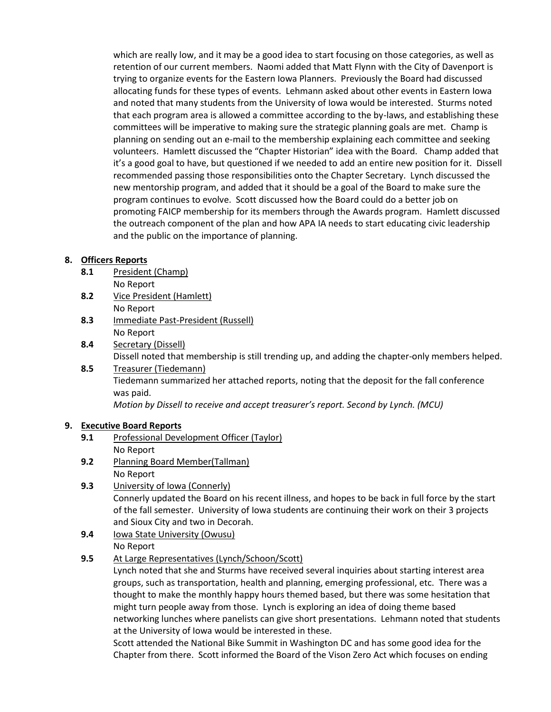which are really low, and it may be a good idea to start focusing on those categories, as well as retention of our current members. Naomi added that Matt Flynn with the City of Davenport is trying to organize events for the Eastern Iowa Planners. Previously the Board had discussed allocating funds for these types of events. Lehmann asked about other events in Eastern Iowa and noted that many students from the University of Iowa would be interested. Sturms noted that each program area is allowed a committee according to the by-laws, and establishing these committees will be imperative to making sure the strategic planning goals are met. Champ is planning on sending out an e-mail to the membership explaining each committee and seeking volunteers. Hamlett discussed the "Chapter Historian" idea with the Board. Champ added that it's a good goal to have, but questioned if we needed to add an entire new position for it. Dissell recommended passing those responsibilities onto the Chapter Secretary. Lynch discussed the new mentorship program, and added that it should be a goal of the Board to make sure the program continues to evolve. Scott discussed how the Board could do a better job on promoting FAICP membership for its members through the Awards program. Hamlett discussed the outreach component of the plan and how APA IA needs to start educating civic leadership and the public on the importance of planning.

### **8. Officers Reports**

- **8.1** President (Champ) No Report
- **8.2** Vice President (Hamlett) No Report
- **8.3** Immediate Past-President (Russell) No Report
- **8.4** Secretary (Dissell) Dissell noted that membership is still trending up, and adding the chapter-only members helped.
- **8.5** Treasurer (Tiedemann) Tiedemann summarized her attached reports, noting that the deposit for the fall conference was paid.

*Motion by Dissell to receive and accept treasurer's report. Second by Lynch.* (MCU)

# **9. Executive Board Reports**

- **9.1** Professional Development Officer (Taylor) No Report
- **9.2** Planning Board Member(Tallman) No Report
- **9.3** University of Iowa (Connerly) Connerly updated the Board on his recent illness, and hopes to be back in full force by the start of the fall semester. University of Iowa students are continuing their work on their 3 projects and Sioux City and two in Decorah.
- **9.4** Iowa State University (Owusu) No Report
- **9.5** At Large Representatives (Lynch/Schoon/Scott)

Lynch noted that she and Sturms have received several inquiries about starting interest area groups, such as transportation, health and planning, emerging professional, etc. There was a thought to make the monthly happy hours themed based, but there was some hesitation that might turn people away from those. Lynch is exploring an idea of doing theme based networking lunches where panelists can give short presentations. Lehmann noted that students at the University of Iowa would be interested in these.

Scott attended the National Bike Summit in Washington DC and has some good idea for the Chapter from there. Scott informed the Board of the Vison Zero Act which focuses on ending